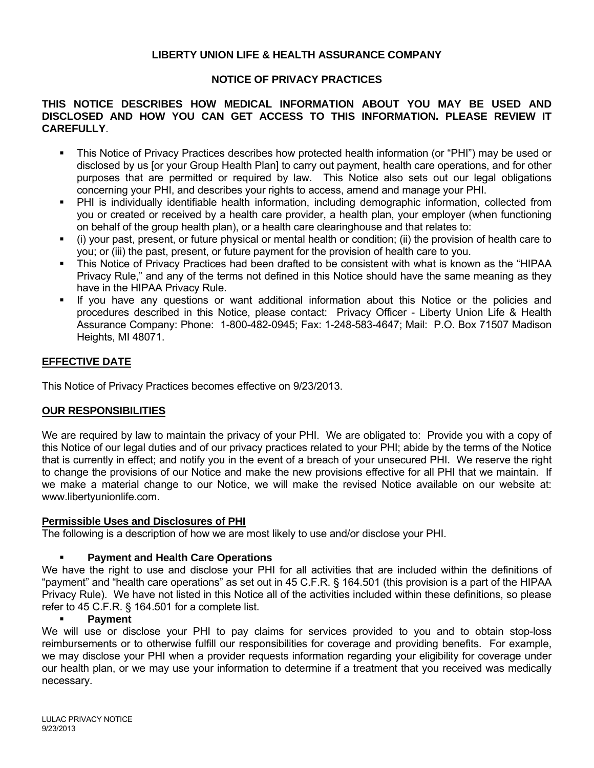## **LIBERTY UNION LIFE & HEALTH ASSURANCE COMPANY**

## **NOTICE OF PRIVACY PRACTICES**

### **THIS NOTICE DESCRIBES HOW MEDICAL INFORMATION ABOUT YOU MAY BE USED AND DISCLOSED AND HOW YOU CAN GET ACCESS TO THIS INFORMATION. PLEASE REVIEW IT CAREFULLY**.

- This Notice of Privacy Practices describes how protected health information (or "PHI") may be used or disclosed by us [or your Group Health Plan] to carry out payment, health care operations, and for other purposes that are permitted or required by law. This Notice also sets out our legal obligations concerning your PHI, and describes your rights to access, amend and manage your PHI.
- PHI is individually identifiable health information, including demographic information, collected from you or created or received by a health care provider, a health plan, your employer (when functioning on behalf of the group health plan), or a health care clearinghouse and that relates to:
- (i) your past, present, or future physical or mental health or condition; (ii) the provision of health care to you; or (iii) the past, present, or future payment for the provision of health care to you.
- This Notice of Privacy Practices had been drafted to be consistent with what is known as the "HIPAA Privacy Rule," and any of the terms not defined in this Notice should have the same meaning as they have in the HIPAA Privacy Rule.
- If you have any questions or want additional information about this Notice or the policies and procedures described in this Notice, please contact: Privacy Officer - Liberty Union Life & Health Assurance Company: Phone: 1-800-482-0945; Fax: 1-248-583-4647; Mail: P.O. Box 71507 Madison Heights, MI 48071.

# **EFFECTIVE DATE**

This Notice of Privacy Practices becomes effective on 9/23/2013.

## **OUR RESPONSIBILITIES**

We are required by law to maintain the privacy of your PHI. We are obligated to: Provide you with a copy of this Notice of our legal duties and of our privacy practices related to your PHI; abide by the terms of the Notice that is currently in effect; and notify you in the event of a breach of your unsecured PHI. We reserve the right to change the provisions of our Notice and make the new provisions effective for all PHI that we maintain. If we make a material change to our Notice, we will make the revised Notice available on our website at: www.libertyunionlife.com.

#### **Permissible Uses and Disclosures of PHI**

The following is a description of how we are most likely to use and/or disclose your PHI.

#### **Payment and Health Care Operations**

We have the right to use and disclose your PHI for all activities that are included within the definitions of "payment" and "health care operations" as set out in 45 C.F.R. § 164.501 (this provision is a part of the HIPAA Privacy Rule). We have not listed in this Notice all of the activities included within these definitions, so please refer to 45 C.F.R. § 164.501 for a complete list.

#### **Payment**

We will use or disclose your PHI to pay claims for services provided to you and to obtain stop-loss reimbursements or to otherwise fulfill our responsibilities for coverage and providing benefits. For example, we may disclose your PHI when a provider requests information regarding your eligibility for coverage under our health plan, or we may use your information to determine if a treatment that you received was medically necessary.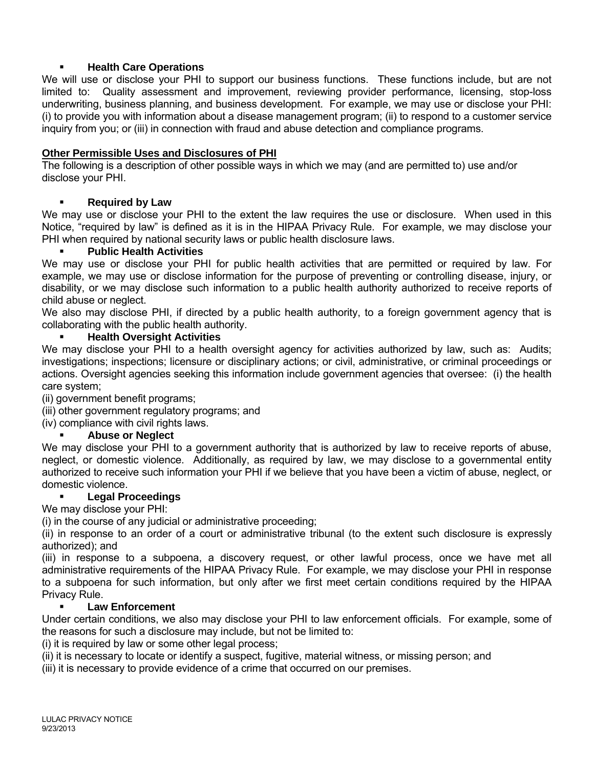## **Health Care Operations**

We will use or disclose your PHI to support our business functions. These functions include, but are not limited to: Quality assessment and improvement, reviewing provider performance, licensing, stop-loss underwriting, business planning, and business development. For example, we may use or disclose your PHI: (i) to provide you with information about a disease management program; (ii) to respond to a customer service inquiry from you; or (iii) in connection with fraud and abuse detection and compliance programs.

## **Other Permissible Uses and Disclosures of PHI**

The following is a description of other possible ways in which we may (and are permitted to) use and/or disclose your PHI.

# **Required by Law**

We may use or disclose your PHI to the extent the law requires the use or disclosure. When used in this Notice, "required by law" is defined as it is in the HIPAA Privacy Rule. For example, we may disclose your PHI when required by national security laws or public health disclosure laws.

## **Public Health Activities**

We may use or disclose your PHI for public health activities that are permitted or required by law. For example, we may use or disclose information for the purpose of preventing or controlling disease, injury, or disability, or we may disclose such information to a public health authority authorized to receive reports of child abuse or neglect.

We also may disclose PHI, if directed by a public health authority, to a foreign government agency that is collaborating with the public health authority.

## **Health Oversight Activities**

We may disclose your PHI to a health oversight agency for activities authorized by law, such as: Audits; investigations; inspections; licensure or disciplinary actions; or civil, administrative, or criminal proceedings or actions. Oversight agencies seeking this information include government agencies that oversee: (i) the health care system;

(ii) government benefit programs;

- (iii) other government regulatory programs; and
- (iv) compliance with civil rights laws.

## **Abuse or Neglect**

We may disclose your PHI to a government authority that is authorized by law to receive reports of abuse, neglect, or domestic violence. Additionally, as required by law, we may disclose to a governmental entity authorized to receive such information your PHI if we believe that you have been a victim of abuse, neglect, or domestic violence.

## **Legal Proceedings**

We may disclose your PHI:

(i) in the course of any judicial or administrative proceeding;

(ii) in response to an order of a court or administrative tribunal (to the extent such disclosure is expressly authorized); and

(iii) in response to a subpoena, a discovery request, or other lawful process, once we have met all administrative requirements of the HIPAA Privacy Rule. For example, we may disclose your PHI in response to a subpoena for such information, but only after we first meet certain conditions required by the HIPAA Privacy Rule.

## **Law Enforcement**

Under certain conditions, we also may disclose your PHI to law enforcement officials. For example, some of the reasons for such a disclosure may include, but not be limited to:

(i) it is required by law or some other legal process;

(ii) it is necessary to locate or identify a suspect, fugitive, material witness, or missing person; and

(iii) it is necessary to provide evidence of a crime that occurred on our premises.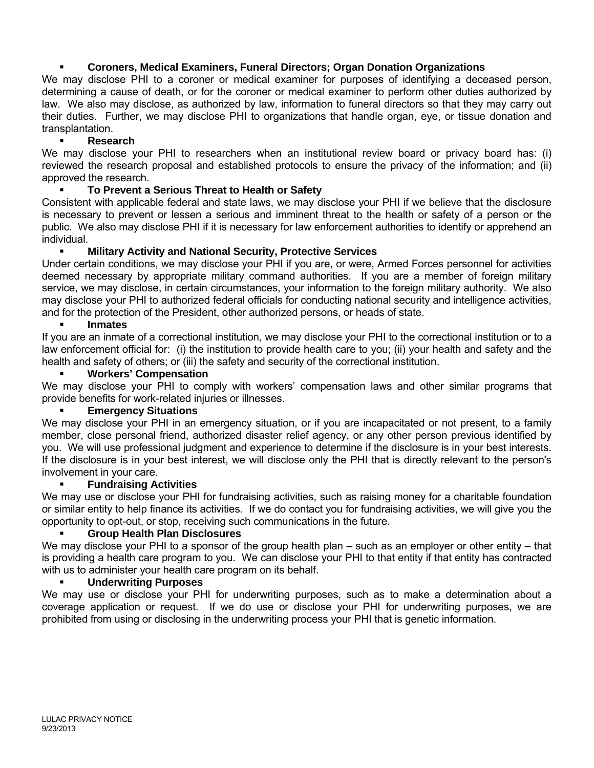# **Coroners, Medical Examiners, Funeral Directors; Organ Donation Organizations**

We may disclose PHI to a coroner or medical examiner for purposes of identifying a deceased person, determining a cause of death, or for the coroner or medical examiner to perform other duties authorized by law. We also may disclose, as authorized by law, information to funeral directors so that they may carry out their duties. Further, we may disclose PHI to organizations that handle organ, eye, or tissue donation and transplantation.

### **Research**

We may disclose your PHI to researchers when an institutional review board or privacy board has: (i) reviewed the research proposal and established protocols to ensure the privacy of the information; and (ii) approved the research.

## **To Prevent a Serious Threat to Health or Safety**

Consistent with applicable federal and state laws, we may disclose your PHI if we believe that the disclosure is necessary to prevent or lessen a serious and imminent threat to the health or safety of a person or the public. We also may disclose PHI if it is necessary for law enforcement authorities to identify or apprehend an individual.

### **Military Activity and National Security, Protective Services**

Under certain conditions, we may disclose your PHI if you are, or were, Armed Forces personnel for activities deemed necessary by appropriate military command authorities. If you are a member of foreign military service, we may disclose, in certain circumstances, your information to the foreign military authority. We also may disclose your PHI to authorized federal officials for conducting national security and intelligence activities, and for the protection of the President, other authorized persons, or heads of state.

#### **Inmates**

If you are an inmate of a correctional institution, we may disclose your PHI to the correctional institution or to a law enforcement official for: (i) the institution to provide health care to you; (ii) your health and safety and the health and safety of others; or (iii) the safety and security of the correctional institution.

### **Workers' Compensation**

We may disclose your PHI to comply with workers' compensation laws and other similar programs that provide benefits for work-related injuries or illnesses.

### **Emergency Situations**

We may disclose your PHI in an emergency situation, or if you are incapacitated or not present, to a family member, close personal friend, authorized disaster relief agency, or any other person previous identified by you. We will use professional judgment and experience to determine if the disclosure is in your best interests. If the disclosure is in your best interest, we will disclose only the PHI that is directly relevant to the person's involvement in your care.

#### **Fundraising Activities**

We may use or disclose your PHI for fundraising activities, such as raising money for a charitable foundation or similar entity to help finance its activities. If we do contact you for fundraising activities, we will give you the opportunity to opt-out, or stop, receiving such communications in the future.

# **Group Health Plan Disclosures**

We may disclose your PHI to a sponsor of the group health plan – such as an employer or other entity – that is providing a health care program to you. We can disclose your PHI to that entity if that entity has contracted with us to administer your health care program on its behalf.

#### **Underwriting Purposes**

We may use or disclose your PHI for underwriting purposes, such as to make a determination about a coverage application or request. If we do use or disclose your PHI for underwriting purposes, we are prohibited from using or disclosing in the underwriting process your PHI that is genetic information.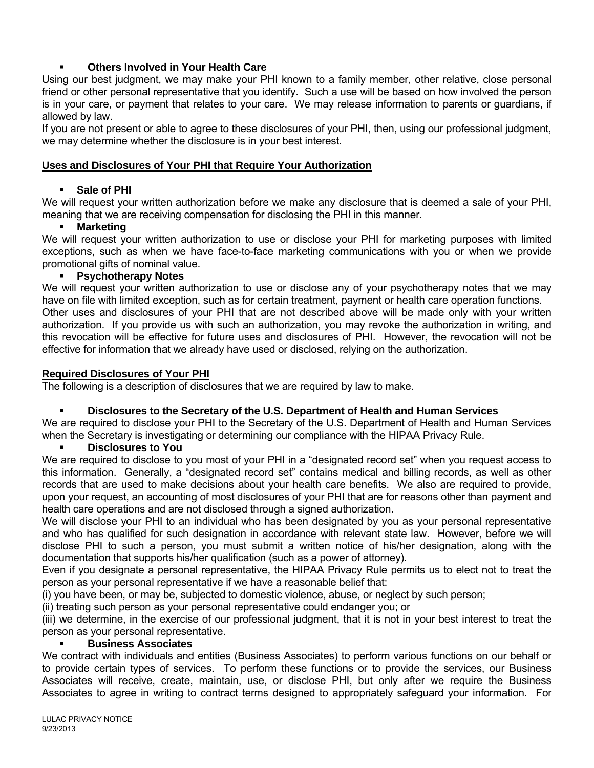# **Others Involved in Your Health Care**

Using our best judgment, we may make your PHI known to a family member, other relative, close personal friend or other personal representative that you identify. Such a use will be based on how involved the person is in your care, or payment that relates to your care. We may release information to parents or guardians, if allowed by law.

If you are not present or able to agree to these disclosures of your PHI, then, using our professional judgment, we may determine whether the disclosure is in your best interest.

### **Uses and Disclosures of Your PHI that Require Your Authorization**

### **Sale of PHI**

We will request your written authorization before we make any disclosure that is deemed a sale of your PHI, meaning that we are receiving compensation for disclosing the PHI in this manner.

### **Marketing**

We will request your written authorization to use or disclose your PHI for marketing purposes with limited exceptions, such as when we have face-to-face marketing communications with you or when we provide promotional gifts of nominal value.

### **Psychotherapy Notes**

We will request your written authorization to use or disclose any of your psychotherapy notes that we may have on file with limited exception, such as for certain treatment, payment or health care operation functions. Other uses and disclosures of your PHI that are not described above will be made only with your written authorization. If you provide us with such an authorization, you may revoke the authorization in writing, and this revocation will be effective for future uses and disclosures of PHI. However, the revocation will not be effective for information that we already have used or disclosed, relying on the authorization.

### **Required Disclosures of Your PHI**

The following is a description of disclosures that we are required by law to make.

## **Disclosures to the Secretary of the U.S. Department of Health and Human Services**

We are required to disclose your PHI to the Secretary of the U.S. Department of Health and Human Services when the Secretary is investigating or determining our compliance with the HIPAA Privacy Rule.

#### **Disclosures to You**

We are required to disclose to you most of your PHI in a "designated record set" when you request access to this information. Generally, a "designated record set" contains medical and billing records, as well as other records that are used to make decisions about your health care benefits. We also are required to provide, upon your request, an accounting of most disclosures of your PHI that are for reasons other than payment and health care operations and are not disclosed through a signed authorization.

We will disclose your PHI to an individual who has been designated by you as your personal representative and who has qualified for such designation in accordance with relevant state law. However, before we will disclose PHI to such a person, you must submit a written notice of his/her designation, along with the documentation that supports his/her qualification (such as a power of attorney).

Even if you designate a personal representative, the HIPAA Privacy Rule permits us to elect not to treat the person as your personal representative if we have a reasonable belief that:

(i) you have been, or may be, subjected to domestic violence, abuse, or neglect by such person;

(ii) treating such person as your personal representative could endanger you; or

(iii) we determine, in the exercise of our professional judgment, that it is not in your best interest to treat the person as your personal representative.

#### **Business Associates**

We contract with individuals and entities (Business Associates) to perform various functions on our behalf or to provide certain types of services. To perform these functions or to provide the services, our Business Associates will receive, create, maintain, use, or disclose PHI, but only after we require the Business Associates to agree in writing to contract terms designed to appropriately safeguard your information. For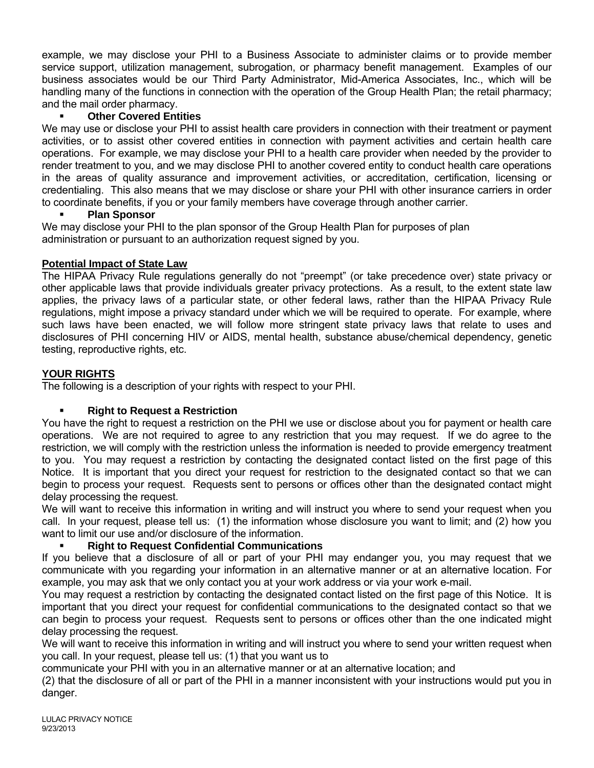example, we may disclose your PHI to a Business Associate to administer claims or to provide member service support, utilization management, subrogation, or pharmacy benefit management. Examples of our business associates would be our Third Party Administrator, Mid-America Associates, Inc., which will be handling many of the functions in connection with the operation of the Group Health Plan; the retail pharmacy; and the mail order pharmacy.

# **Other Covered Entities**

We may use or disclose your PHI to assist health care providers in connection with their treatment or payment activities, or to assist other covered entities in connection with payment activities and certain health care operations. For example, we may disclose your PHI to a health care provider when needed by the provider to render treatment to you, and we may disclose PHI to another covered entity to conduct health care operations in the areas of quality assurance and improvement activities, or accreditation, certification, licensing or credentialing. This also means that we may disclose or share your PHI with other insurance carriers in order to coordinate benefits, if you or your family members have coverage through another carrier.

## **Plan Sponsor**

We may disclose your PHI to the plan sponsor of the Group Health Plan for purposes of plan administration or pursuant to an authorization request signed by you.

## **Potential Impact of State Law**

The HIPAA Privacy Rule regulations generally do not "preempt" (or take precedence over) state privacy or other applicable laws that provide individuals greater privacy protections. As a result, to the extent state law applies, the privacy laws of a particular state, or other federal laws, rather than the HIPAA Privacy Rule regulations, might impose a privacy standard under which we will be required to operate. For example, where such laws have been enacted, we will follow more stringent state privacy laws that relate to uses and disclosures of PHI concerning HIV or AIDS, mental health, substance abuse/chemical dependency, genetic testing, reproductive rights, etc.

# **YOUR RIGHTS**

The following is a description of your rights with respect to your PHI.

## **Right to Request a Restriction**

You have the right to request a restriction on the PHI we use or disclose about you for payment or health care operations. We are not required to agree to any restriction that you may request. If we do agree to the restriction, we will comply with the restriction unless the information is needed to provide emergency treatment to you. You may request a restriction by contacting the designated contact listed on the first page of this Notice. It is important that you direct your request for restriction to the designated contact so that we can begin to process your request. Requests sent to persons or offices other than the designated contact might delay processing the request.

We will want to receive this information in writing and will instruct you where to send your request when you call. In your request, please tell us: (1) the information whose disclosure you want to limit; and (2) how you want to limit our use and/or disclosure of the information.

# **Right to Request Confidential Communications**

If you believe that a disclosure of all or part of your PHI may endanger you, you may request that we communicate with you regarding your information in an alternative manner or at an alternative location. For example, you may ask that we only contact you at your work address or via your work e-mail.

You may request a restriction by contacting the designated contact listed on the first page of this Notice. It is important that you direct your request for confidential communications to the designated contact so that we can begin to process your request. Requests sent to persons or offices other than the one indicated might delay processing the request.

We will want to receive this information in writing and will instruct you where to send your written request when you call. In your request, please tell us: (1) that you want us to

communicate your PHI with you in an alternative manner or at an alternative location; and

(2) that the disclosure of all or part of the PHI in a manner inconsistent with your instructions would put you in danger.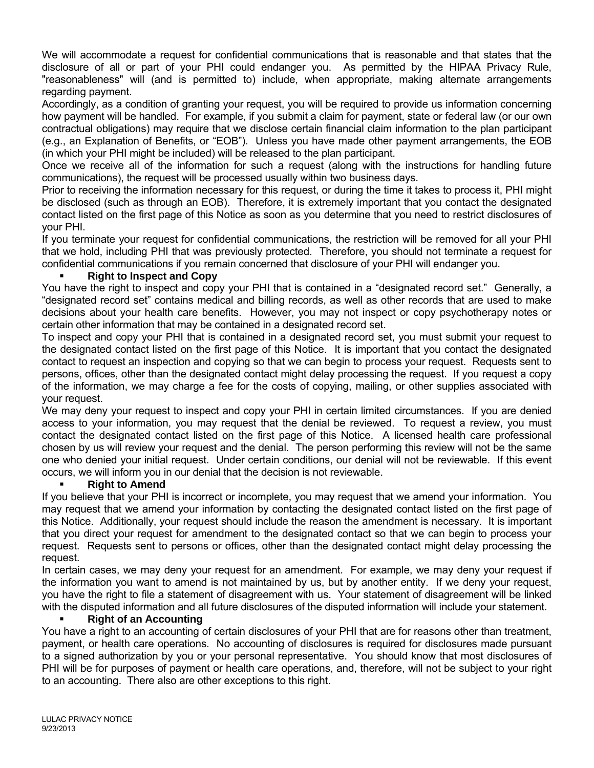We will accommodate a request for confidential communications that is reasonable and that states that the disclosure of all or part of your PHI could endanger you. As permitted by the HIPAA Privacy Rule, "reasonableness" will (and is permitted to) include, when appropriate, making alternate arrangements regarding payment.

Accordingly, as a condition of granting your request, you will be required to provide us information concerning how payment will be handled. For example, if you submit a claim for payment, state or federal law (or our own contractual obligations) may require that we disclose certain financial claim information to the plan participant (e.g., an Explanation of Benefits, or "EOB"). Unless you have made other payment arrangements, the EOB (in which your PHI might be included) will be released to the plan participant.

Once we receive all of the information for such a request (along with the instructions for handling future communications), the request will be processed usually within two business days.

Prior to receiving the information necessary for this request, or during the time it takes to process it, PHI might be disclosed (such as through an EOB). Therefore, it is extremely important that you contact the designated contact listed on the first page of this Notice as soon as you determine that you need to restrict disclosures of your PHI.

If you terminate your request for confidential communications, the restriction will be removed for all your PHI that we hold, including PHI that was previously protected. Therefore, you should not terminate a request for confidential communications if you remain concerned that disclosure of your PHI will endanger you.

## **Right to Inspect and Copy**

You have the right to inspect and copy your PHI that is contained in a "designated record set." Generally, a "designated record set" contains medical and billing records, as well as other records that are used to make decisions about your health care benefits. However, you may not inspect or copy psychotherapy notes or certain other information that may be contained in a designated record set.

To inspect and copy your PHI that is contained in a designated record set, you must submit your request to the designated contact listed on the first page of this Notice. It is important that you contact the designated contact to request an inspection and copying so that we can begin to process your request. Requests sent to persons, offices, other than the designated contact might delay processing the request. If you request a copy of the information, we may charge a fee for the costs of copying, mailing, or other supplies associated with your request.

We may deny your request to inspect and copy your PHI in certain limited circumstances. If you are denied access to your information, you may request that the denial be reviewed. To request a review, you must contact the designated contact listed on the first page of this Notice. A licensed health care professional chosen by us will review your request and the denial. The person performing this review will not be the same one who denied your initial request. Under certain conditions, our denial will not be reviewable. If this event occurs, we will inform you in our denial that the decision is not reviewable.

## **Right to Amend**

If you believe that your PHI is incorrect or incomplete, you may request that we amend your information. You may request that we amend your information by contacting the designated contact listed on the first page of this Notice. Additionally, your request should include the reason the amendment is necessary. It is important that you direct your request for amendment to the designated contact so that we can begin to process your request. Requests sent to persons or offices, other than the designated contact might delay processing the request.

In certain cases, we may deny your request for an amendment. For example, we may deny your request if the information you want to amend is not maintained by us, but by another entity. If we deny your request, you have the right to file a statement of disagreement with us. Your statement of disagreement will be linked with the disputed information and all future disclosures of the disputed information will include your statement.

## **Right of an Accounting**

You have a right to an accounting of certain disclosures of your PHI that are for reasons other than treatment, payment, or health care operations. No accounting of disclosures is required for disclosures made pursuant to a signed authorization by you or your personal representative. You should know that most disclosures of PHI will be for purposes of payment or health care operations, and, therefore, will not be subject to your right to an accounting. There also are other exceptions to this right.